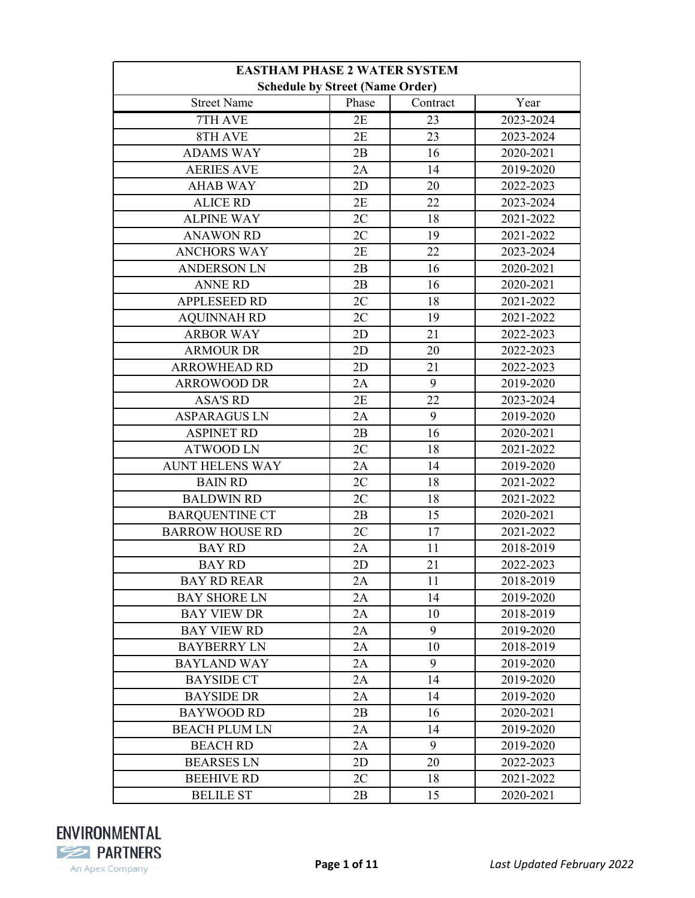| <b>EASTHAM PHASE 2 WATER SYSTEM</b>    |       |          |           |
|----------------------------------------|-------|----------|-----------|
| <b>Schedule by Street (Name Order)</b> |       |          |           |
| <b>Street Name</b>                     | Phase | Contract | Year      |
| 7TH AVE                                | 2E    | 23       | 2023-2024 |
| 8TH AVE                                | 2E    | 23       | 2023-2024 |
| <b>ADAMS WAY</b>                       | 2B    | 16       | 2020-2021 |
| <b>AERIES AVE</b>                      | 2A    | 14       | 2019-2020 |
| <b>AHAB WAY</b>                        | 2D    | 20       | 2022-2023 |
| <b>ALICE RD</b>                        | 2E    | 22       | 2023-2024 |
| <b>ALPINE WAY</b>                      | 2C    | 18       | 2021-2022 |
| <b>ANAWON RD</b>                       | 2C    | 19       | 2021-2022 |
| <b>ANCHORS WAY</b>                     | 2E    | 22       | 2023-2024 |
| <b>ANDERSON LN</b>                     | 2B    | 16       | 2020-2021 |
| <b>ANNE RD</b>                         | 2B    | 16       | 2020-2021 |
| <b>APPLESEED RD</b>                    | 2C    | 18       | 2021-2022 |
| <b>AQUINNAH RD</b>                     | 2C    | 19       | 2021-2022 |
| <b>ARBOR WAY</b>                       | 2D    | 21       | 2022-2023 |
| <b>ARMOUR DR</b>                       | 2D    | 20       | 2022-2023 |
| <b>ARROWHEAD RD</b>                    | 2D    | 21       | 2022-2023 |
| <b>ARROWOOD DR</b>                     | 2A    | 9        | 2019-2020 |
| <b>ASA'S RD</b>                        | 2E    | 22       | 2023-2024 |
| <b>ASPARAGUS LN</b>                    | 2A    | 9        | 2019-2020 |
| <b>ASPINET RD</b>                      | 2B    | 16       | 2020-2021 |
| <b>ATWOOD LN</b>                       | 2C    | 18       | 2021-2022 |
| <b>AUNT HELENS WAY</b>                 | 2A    | 14       | 2019-2020 |
| <b>BAIN RD</b>                         | 2C    | 18       | 2021-2022 |
| <b>BALDWIN RD</b>                      | 2C    | 18       | 2021-2022 |
| <b>BARQUENTINE CT</b>                  | 2B    | 15       | 2020-2021 |
| <b>BARROW HOUSE RD</b>                 | 2C    | 17       | 2021-2022 |
| <b>BAY RD</b>                          | 2A    | 11       | 2018-2019 |
| <b>BAY RD</b>                          | 2D    | 21       | 2022-2023 |
| <b>BAY RD REAR</b>                     | 2A    | 11       | 2018-2019 |
| <b>BAY SHORE LN</b>                    | 2A    | 14       | 2019-2020 |
| <b>BAY VIEW DR</b>                     | 2A    | 10       | 2018-2019 |
| <b>BAY VIEW RD</b>                     | 2A    | 9        | 2019-2020 |
| <b>BAYBERRY LN</b>                     | 2A    | 10       | 2018-2019 |
| <b>BAYLAND WAY</b>                     | 2A    | 9        | 2019-2020 |
| <b>BAYSIDE CT</b>                      | 2A    | 14       | 2019-2020 |
| <b>BAYSIDE DR</b>                      | 2A    | 14       | 2019-2020 |
| <b>BAYWOOD RD</b>                      | 2B    | 16       | 2020-2021 |
| <b>BEACH PLUM LN</b>                   | 2A    | 14       | 2019-2020 |
| <b>BEACH RD</b>                        | 2A    | 9        | 2019-2020 |
| <b>BEARSES LN</b>                      | 2D    | 20       | 2022-2023 |
| <b>BEEHIVE RD</b>                      | 2C    | 18       | 2021-2022 |
| <b>BELILE ST</b>                       | 2B    | 15       | 2020-2021 |

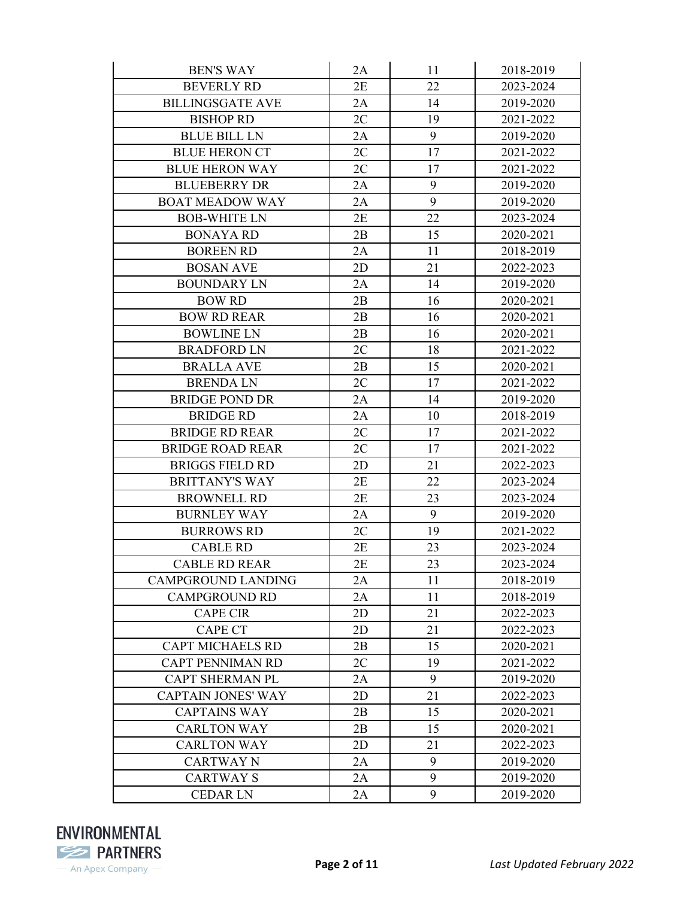| <b>BEN'S WAY</b>          | 2A | 11 | 2018-2019 |
|---------------------------|----|----|-----------|
| <b>BEVERLY RD</b>         | 2E | 22 | 2023-2024 |
| <b>BILLINGSGATE AVE</b>   | 2A | 14 | 2019-2020 |
| <b>BISHOP RD</b>          | 2C | 19 | 2021-2022 |
| <b>BLUE BILL LN</b>       | 2A | 9  | 2019-2020 |
| <b>BLUE HERON CT</b>      | 2C | 17 | 2021-2022 |
| <b>BLUE HERON WAY</b>     | 2C | 17 | 2021-2022 |
| <b>BLUEBERRY DR</b>       | 2A | 9  | 2019-2020 |
| <b>BOAT MEADOW WAY</b>    | 2A | 9  | 2019-2020 |
| <b>BOB-WHITE LN</b>       | 2E | 22 | 2023-2024 |
| <b>BONAYA RD</b>          | 2B | 15 | 2020-2021 |
| <b>BOREEN RD</b>          | 2A | 11 | 2018-2019 |
| <b>BOSAN AVE</b>          | 2D | 21 | 2022-2023 |
| <b>BOUNDARY LN</b>        | 2A | 14 | 2019-2020 |
| <b>BOW RD</b>             | 2B | 16 | 2020-2021 |
| <b>BOW RD REAR</b>        | 2B | 16 | 2020-2021 |
| <b>BOWLINE LN</b>         | 2B | 16 | 2020-2021 |
| <b>BRADFORD LN</b>        | 2C | 18 | 2021-2022 |
| <b>BRALLA AVE</b>         | 2B | 15 | 2020-2021 |
| <b>BRENDALN</b>           | 2C | 17 | 2021-2022 |
| <b>BRIDGE POND DR</b>     | 2A | 14 | 2019-2020 |
| <b>BRIDGE RD</b>          | 2A | 10 | 2018-2019 |
| <b>BRIDGE RD REAR</b>     | 2C | 17 | 2021-2022 |
| <b>BRIDGE ROAD REAR</b>   | 2C | 17 | 2021-2022 |
| <b>BRIGGS FIELD RD</b>    | 2D | 21 | 2022-2023 |
| <b>BRITTANY'S WAY</b>     | 2E | 22 | 2023-2024 |
| <b>BROWNELL RD</b>        | 2E | 23 | 2023-2024 |
| <b>BURNLEY WAY</b>        | 2A | 9  | 2019-2020 |
| <b>BURROWS RD</b>         | 2C | 19 | 2021-2022 |
| <b>CABLE RD</b>           | 2E | 23 | 2023-2024 |
| <b>CABLE RD REAR</b>      | 2E | 23 | 2023-2024 |
| CAMPGROUND LANDING        | 2A | 11 | 2018-2019 |
| <b>CAMPGROUND RD</b>      | 2A | 11 | 2018-2019 |
| <b>CAPE CIR</b>           | 2D | 21 | 2022-2023 |
| <b>CAPE CT</b>            | 2D | 21 | 2022-2023 |
| <b>CAPT MICHAELS RD</b>   | 2B | 15 | 2020-2021 |
| <b>CAPT PENNIMAN RD</b>   | 2C | 19 | 2021-2022 |
| <b>CAPT SHERMAN PL</b>    | 2A | 9  | 2019-2020 |
| <b>CAPTAIN JONES' WAY</b> | 2D | 21 | 2022-2023 |
| <b>CAPTAINS WAY</b>       | 2B | 15 | 2020-2021 |
| <b>CARLTON WAY</b>        | 2B | 15 | 2020-2021 |
| <b>CARLTON WAY</b>        | 2D | 21 | 2022-2023 |
| <b>CARTWAY N</b>          | 2A | 9  | 2019-2020 |
| <b>CARTWAYS</b>           | 2A | 9  | 2019-2020 |
| <b>CEDAR LN</b>           | 2A | 9  | 2019-2020 |

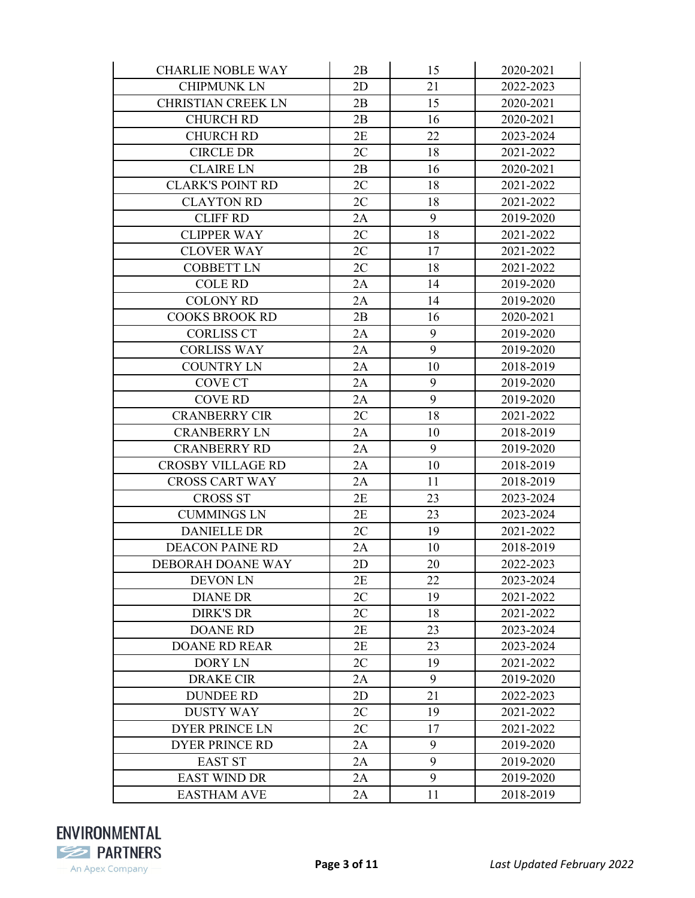| <b>CHARLIE NOBLE WAY</b>  | 2B | 15 | 2020-2021 |
|---------------------------|----|----|-----------|
| <b>CHIPMUNK LN</b>        | 2D | 21 | 2022-2023 |
| <b>CHRISTIAN CREEK LN</b> | 2B | 15 | 2020-2021 |
| <b>CHURCH RD</b>          | 2B | 16 | 2020-2021 |
| <b>CHURCH RD</b>          | 2E | 22 | 2023-2024 |
| <b>CIRCLE DR</b>          | 2C | 18 | 2021-2022 |
| <b>CLAIRE LN</b>          | 2B | 16 | 2020-2021 |
| <b>CLARK'S POINT RD</b>   | 2C | 18 | 2021-2022 |
| <b>CLAYTON RD</b>         | 2C | 18 | 2021-2022 |
| <b>CLIFF RD</b>           | 2A | 9  | 2019-2020 |
| <b>CLIPPER WAY</b>        | 2C | 18 | 2021-2022 |
| <b>CLOVER WAY</b>         | 2C | 17 | 2021-2022 |
| <b>COBBETT LN</b>         | 2C | 18 | 2021-2022 |
| <b>COLE RD</b>            | 2A | 14 | 2019-2020 |
| <b>COLONY RD</b>          | 2A | 14 | 2019-2020 |
| <b>COOKS BROOK RD</b>     | 2B | 16 | 2020-2021 |
| <b>CORLISS CT</b>         | 2A | 9  | 2019-2020 |
| <b>CORLISS WAY</b>        | 2A | 9  | 2019-2020 |
| <b>COUNTRY LN</b>         | 2A | 10 | 2018-2019 |
| <b>COVE CT</b>            | 2A | 9  | 2019-2020 |
| <b>COVE RD</b>            | 2A | 9  | 2019-2020 |
| <b>CRANBERRY CIR</b>      | 2C | 18 | 2021-2022 |
| <b>CRANBERRY LN</b>       | 2A | 10 | 2018-2019 |
| <b>CRANBERRY RD</b>       | 2A | 9  | 2019-2020 |
| <b>CROSBY VILLAGE RD</b>  | 2A | 10 | 2018-2019 |
| <b>CROSS CART WAY</b>     | 2A | 11 | 2018-2019 |
| <b>CROSS ST</b>           | 2E | 23 | 2023-2024 |
| <b>CUMMINGS LN</b>        | 2E | 23 | 2023-2024 |
| <b>DANIELLE DR</b>        | 2C | 19 | 2021-2022 |
| <b>DEACON PAINE RD</b>    | 2A | 10 | 2018-2019 |
| DEBORAH DOANE WAY         | 2D | 20 | 2022-2023 |
| <b>DEVON LN</b>           | 2E | 22 | 2023-2024 |
| <b>DIANE DR</b>           | 2C | 19 | 2021-2022 |
| <b>DIRK'S DR</b>          | 2C | 18 | 2021-2022 |
| <b>DOANE RD</b>           | 2E | 23 | 2023-2024 |
| <b>DOANE RD REAR</b>      | 2E | 23 | 2023-2024 |
| DORY LN                   | 2C | 19 | 2021-2022 |
| <b>DRAKE CIR</b>          | 2A | 9  | 2019-2020 |
| <b>DUNDEE RD</b>          | 2D | 21 | 2022-2023 |
| <b>DUSTY WAY</b>          | 2C | 19 | 2021-2022 |
| <b>DYER PRINCE LN</b>     | 2C | 17 | 2021-2022 |
| <b>DYER PRINCE RD</b>     | 2A | 9  | 2019-2020 |
| <b>EAST ST</b>            | 2A | 9  | 2019-2020 |
| <b>EAST WIND DR</b>       | 2A | 9  | 2019-2020 |
| <b>EASTHAM AVE</b>        | 2A | 11 | 2018-2019 |

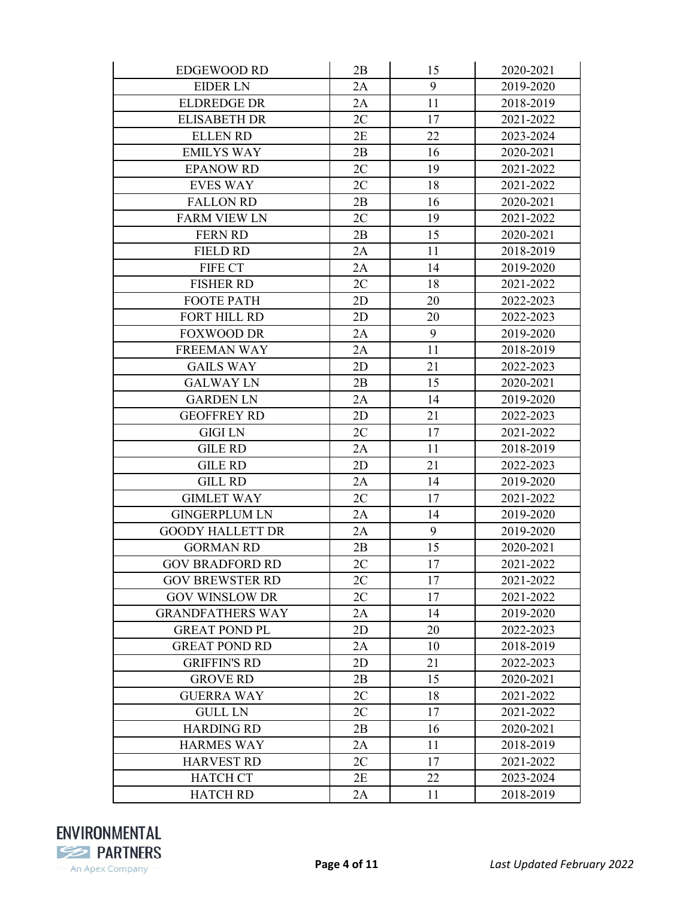| <b>EDGEWOOD RD</b>      | 2B | 15 | 2020-2021 |
|-------------------------|----|----|-----------|
| <b>EIDER LN</b>         | 2A | 9  | 2019-2020 |
| <b>ELDREDGE DR</b>      | 2A | 11 | 2018-2019 |
| <b>ELISABETH DR</b>     | 2C | 17 | 2021-2022 |
| <b>ELLEN RD</b>         | 2E | 22 | 2023-2024 |
| <b>EMILYS WAY</b>       | 2B | 16 | 2020-2021 |
| <b>EPANOW RD</b>        | 2C | 19 | 2021-2022 |
| <b>EVES WAY</b>         | 2C | 18 | 2021-2022 |
| <b>FALLON RD</b>        | 2B | 16 | 2020-2021 |
| <b>FARM VIEW LN</b>     | 2C | 19 | 2021-2022 |
| <b>FERN RD</b>          | 2B | 15 | 2020-2021 |
| <b>FIELD RD</b>         | 2A | 11 | 2018-2019 |
| FIFE CT                 | 2A | 14 | 2019-2020 |
| <b>FISHER RD</b>        | 2C | 18 | 2021-2022 |
| <b>FOOTE PATH</b>       | 2D | 20 | 2022-2023 |
| FORT HILL RD            | 2D | 20 | 2022-2023 |
| <b>FOXWOOD DR</b>       | 2A | 9  | 2019-2020 |
| <b>FREEMAN WAY</b>      | 2A | 11 | 2018-2019 |
| <b>GAILS WAY</b>        | 2D | 21 | 2022-2023 |
| <b>GALWAY LN</b>        | 2B | 15 | 2020-2021 |
| <b>GARDEN LN</b>        | 2A | 14 | 2019-2020 |
| <b>GEOFFREY RD</b>      | 2D | 21 | 2022-2023 |
| <b>GIGI LN</b>          | 2C | 17 | 2021-2022 |
| <b>GILE RD</b>          | 2A | 11 | 2018-2019 |
| <b>GILE RD</b>          | 2D | 21 | 2022-2023 |
| <b>GILL RD</b>          | 2A | 14 | 2019-2020 |
| <b>GIMLET WAY</b>       | 2C | 17 | 2021-2022 |
| <b>GINGERPLUM LN</b>    | 2A | 14 | 2019-2020 |
| <b>GOODY HALLETT DR</b> | 2A | 9  | 2019-2020 |
| <b>GORMAN RD</b>        | 2B | 15 | 2020-2021 |
| <b>GOV BRADFORD RD</b>  | 2C | 17 | 2021-2022 |
| <b>GOV BREWSTER RD</b>  | 2C | 17 | 2021-2022 |
| <b>GOV WINSLOW DR</b>   | 2C | 17 | 2021-2022 |
| <b>GRANDFATHERS WAY</b> | 2A | 14 | 2019-2020 |
| <b>GREAT POND PL</b>    | 2D | 20 | 2022-2023 |
| <b>GREAT POND RD</b>    | 2A | 10 | 2018-2019 |
| <b>GRIFFIN'S RD</b>     | 2D | 21 | 2022-2023 |
| <b>GROVE RD</b>         | 2B | 15 | 2020-2021 |
| <b>GUERRA WAY</b>       | 2C | 18 | 2021-2022 |
| <b>GULL LN</b>          | 2C | 17 | 2021-2022 |
| <b>HARDING RD</b>       | 2B | 16 | 2020-2021 |
| <b>HARMES WAY</b>       | 2A | 11 | 2018-2019 |
| <b>HARVEST RD</b>       | 2C | 17 | 2021-2022 |
| <b>HATCH CT</b>         | 2E | 22 | 2023-2024 |
| <b>HATCH RD</b>         | 2A | 11 | 2018-2019 |

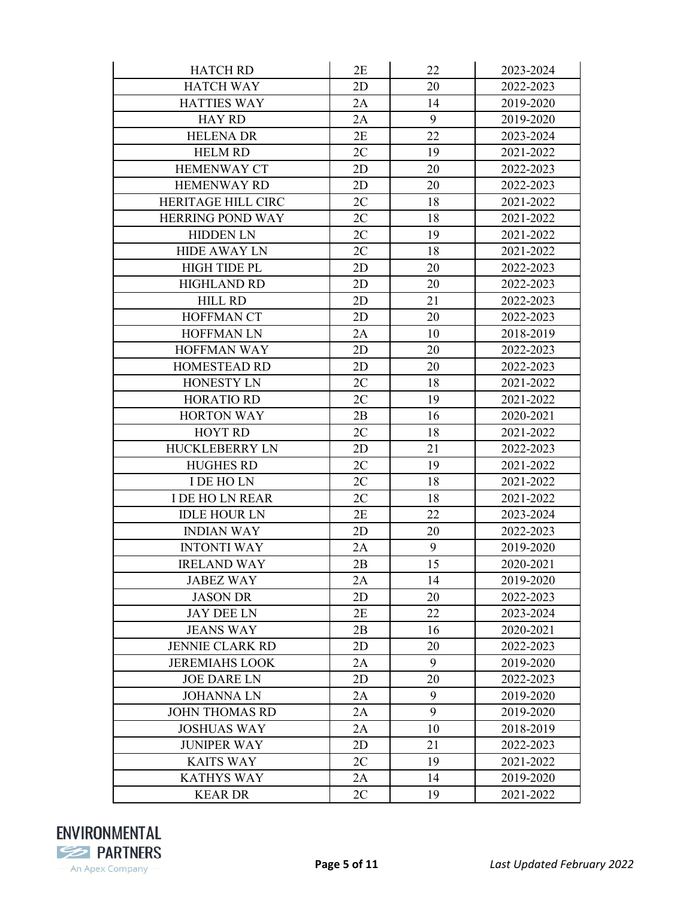| <b>HATCH RD</b>         | 2E | 22 | 2023-2024 |
|-------------------------|----|----|-----------|
| <b>HATCH WAY</b>        | 2D | 20 | 2022-2023 |
| <b>HATTIES WAY</b>      | 2A | 14 | 2019-2020 |
| <b>HAY RD</b>           | 2A | 9  | 2019-2020 |
| <b>HELENA DR</b>        | 2E | 22 | 2023-2024 |
| <b>HELM RD</b>          | 2C | 19 | 2021-2022 |
| <b>HEMENWAY CT</b>      | 2D | 20 | 2022-2023 |
| <b>HEMENWAY RD</b>      | 2D | 20 | 2022-2023 |
| HERITAGE HILL CIRC      | 2C | 18 | 2021-2022 |
| <b>HERRING POND WAY</b> | 2C | 18 | 2021-2022 |
| <b>HIDDEN LN</b>        | 2C | 19 | 2021-2022 |
| <b>HIDE AWAY LN</b>     | 2C | 18 | 2021-2022 |
| <b>HIGH TIDE PL</b>     | 2D | 20 | 2022-2023 |
| <b>HIGHLAND RD</b>      | 2D | 20 | 2022-2023 |
| <b>HILL RD</b>          | 2D | 21 | 2022-2023 |
| <b>HOFFMAN CT</b>       | 2D | 20 | 2022-2023 |
| <b>HOFFMAN LN</b>       | 2A | 10 | 2018-2019 |
| <b>HOFFMAN WAY</b>      | 2D | 20 | 2022-2023 |
| <b>HOMESTEAD RD</b>     | 2D | 20 | 2022-2023 |
| HONESTY LN              | 2C | 18 | 2021-2022 |
| <b>HORATIO RD</b>       | 2C | 19 | 2021-2022 |
| <b>HORTON WAY</b>       | 2B | 16 | 2020-2021 |
| <b>HOYT RD</b>          | 2C | 18 | 2021-2022 |
| <b>HUCKLEBERRY LN</b>   | 2D | 21 | 2022-2023 |
| <b>HUGHES RD</b>        | 2C | 19 | 2021-2022 |
| I DE HO LN              | 2C | 18 | 2021-2022 |
| <b>I DE HO LN REAR</b>  | 2C | 18 | 2021-2022 |
| <b>IDLE HOUR LN</b>     | 2E | 22 | 2023-2024 |
| <b>INDIAN WAY</b>       | 2D | 20 | 2022-2023 |
| <b>INTONTI WAY</b>      | 2A | 9  | 2019-2020 |
| <b>IRELAND WAY</b>      | 2B | 15 | 2020-2021 |
| <b>JABEZ WAY</b>        | 2A | 14 | 2019-2020 |
| <b>JASON DR</b>         | 2D | 20 | 2022-2023 |
| <b>JAY DEE LN</b>       | 2E | 22 | 2023-2024 |
| <b>JEANS WAY</b>        | 2B | 16 | 2020-2021 |
| <b>JENNIE CLARK RD</b>  | 2D | 20 | 2022-2023 |
| <b>JEREMIAHS LOOK</b>   | 2A | 9  | 2019-2020 |
| <b>JOE DARE LN</b>      | 2D | 20 | 2022-2023 |
| <b>JOHANNALN</b>        | 2A | 9  | 2019-2020 |
| <b>JOHN THOMAS RD</b>   | 2A | 9  | 2019-2020 |
| <b>JOSHUAS WAY</b>      | 2A | 10 | 2018-2019 |
| <b>JUNIPER WAY</b>      | 2D | 21 | 2022-2023 |
| <b>KAITS WAY</b>        | 2C | 19 | 2021-2022 |
| <b>KATHYS WAY</b>       | 2A | 14 | 2019-2020 |
| <b>KEARDR</b>           | 2C | 19 | 2021-2022 |

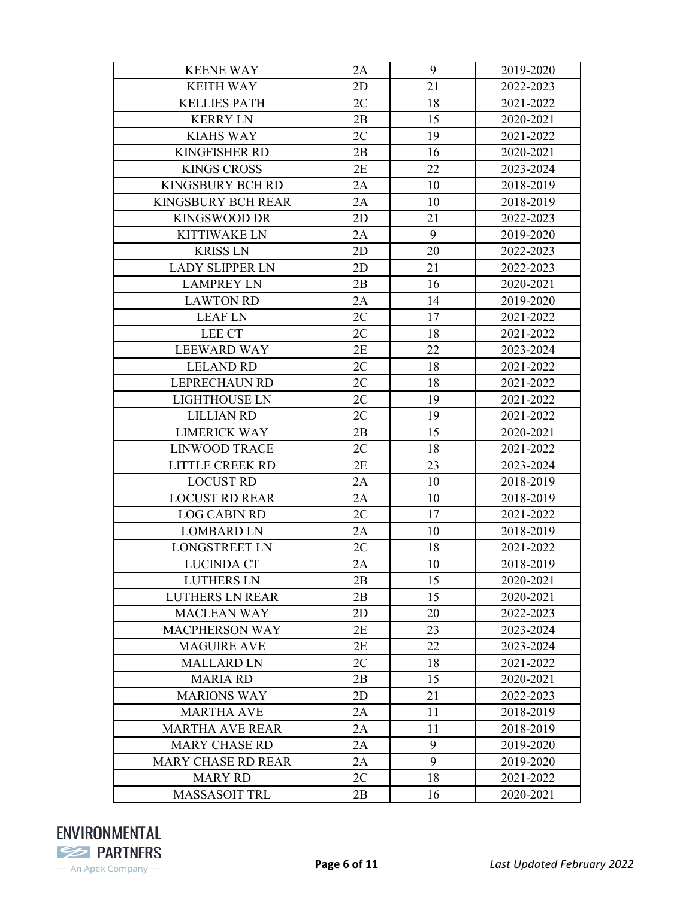| <b>KEENE WAY</b>          | 2A | 9  | 2019-2020 |
|---------------------------|----|----|-----------|
| <b>KEITH WAY</b>          | 2D | 21 | 2022-2023 |
| <b>KELLIES PATH</b>       | 2C | 18 | 2021-2022 |
| <b>KERRY LN</b>           | 2B | 15 | 2020-2021 |
| <b>KIAHS WAY</b>          | 2C | 19 | 2021-2022 |
| <b>KINGFISHER RD</b>      | 2B | 16 | 2020-2021 |
| <b>KINGS CROSS</b>        | 2E | 22 | 2023-2024 |
| <b>KINGSBURY BCH RD</b>   | 2A | 10 | 2018-2019 |
| <b>KINGSBURY BCH REAR</b> | 2A | 10 | 2018-2019 |
| <b>KINGSWOOD DR</b>       | 2D | 21 | 2022-2023 |
| <b>KITTIWAKE LN</b>       | 2A | 9  | 2019-2020 |
| <b>KRISS LN</b>           | 2D | 20 | 2022-2023 |
| <b>LADY SLIPPER LN</b>    | 2D | 21 | 2022-2023 |
| <b>LAMPREY LN</b>         | 2B | 16 | 2020-2021 |
| <b>LAWTON RD</b>          | 2A | 14 | 2019-2020 |
| <b>LEAF LN</b>            | 2C | 17 | 2021-2022 |
| <b>LEE CT</b>             | 2C | 18 | 2021-2022 |
| <b>LEEWARD WAY</b>        | 2E | 22 | 2023-2024 |
| <b>LELAND RD</b>          | 2C | 18 | 2021-2022 |
| <b>LEPRECHAUN RD</b>      | 2C | 18 | 2021-2022 |
| <b>LIGHTHOUSE LN</b>      | 2C | 19 | 2021-2022 |
| <b>LILLIAN RD</b>         | 2C | 19 | 2021-2022 |
| <b>LIMERICK WAY</b>       | 2B | 15 | 2020-2021 |
| <b>LINWOOD TRACE</b>      | 2C | 18 | 2021-2022 |
| LITTLE CREEK RD           | 2E | 23 | 2023-2024 |
| <b>LOCUST RD</b>          | 2A | 10 | 2018-2019 |
| <b>LOCUST RD REAR</b>     | 2A | 10 | 2018-2019 |
| <b>LOG CABIN RD</b>       | 2C | 17 | 2021-2022 |
| <b>LOMBARD LN</b>         | 2A | 10 | 2018-2019 |
| <b>LONGSTREET LN</b>      | 2C | 18 | 2021-2022 |
| <b>LUCINDA CT</b>         | 2A | 10 | 2018-2019 |
| <b>LUTHERS LN</b>         | 2B | 15 | 2020-2021 |
| <b>LUTHERS LN REAR</b>    | 2B | 15 | 2020-2021 |
| <b>MACLEAN WAY</b>        | 2D | 20 | 2022-2023 |
| <b>MACPHERSON WAY</b>     | 2E | 23 | 2023-2024 |
| <b>MAGUIRE AVE</b>        | 2E | 22 | 2023-2024 |
| <b>MALLARD LN</b>         | 2C | 18 | 2021-2022 |
| <b>MARIA RD</b>           | 2B | 15 | 2020-2021 |
| <b>MARIONS WAY</b>        | 2D | 21 | 2022-2023 |
| <b>MARTHA AVE</b>         | 2A | 11 | 2018-2019 |
| <b>MARTHA AVE REAR</b>    | 2A | 11 | 2018-2019 |
| <b>MARY CHASE RD</b>      | 2A | 9  | 2019-2020 |
| <b>MARY CHASE RD REAR</b> | 2A | 9  | 2019-2020 |
| <b>MARY RD</b>            | 2C | 18 | 2021-2022 |
| <b>MASSASOIT TRL</b>      | 2B | 16 | 2020-2021 |

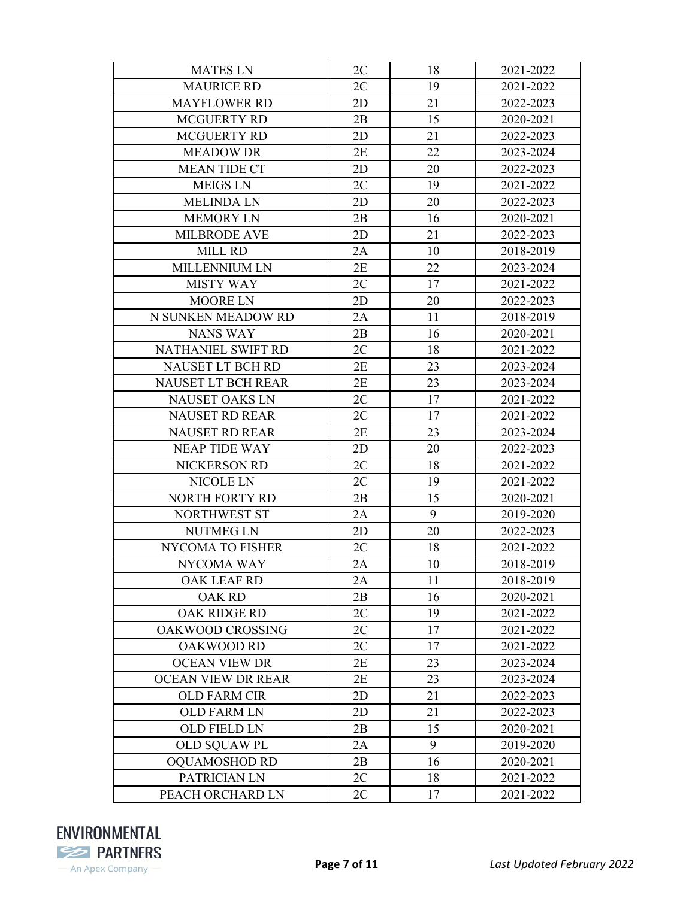| <b>MATES LN</b>           | 2C | 18 | 2021-2022 |
|---------------------------|----|----|-----------|
| <b>MAURICE RD</b>         | 2C | 19 | 2021-2022 |
| <b>MAYFLOWER RD</b>       | 2D | 21 | 2022-2023 |
| <b>MCGUERTY RD</b>        | 2B | 15 | 2020-2021 |
| <b>MCGUERTY RD</b>        | 2D | 21 | 2022-2023 |
| <b>MEADOW DR</b>          | 2E | 22 | 2023-2024 |
| <b>MEAN TIDE CT</b>       | 2D | 20 | 2022-2023 |
| <b>MEIGS LN</b>           | 2C | 19 | 2021-2022 |
| <b>MELINDA LN</b>         | 2D | 20 | 2022-2023 |
| <b>MEMORY LN</b>          | 2B | 16 | 2020-2021 |
| <b>MILBRODE AVE</b>       | 2D | 21 | 2022-2023 |
| <b>MILL RD</b>            | 2A | 10 | 2018-2019 |
| <b>MILLENNIUM LN</b>      | 2E | 22 | 2023-2024 |
| <b>MISTY WAY</b>          | 2C | 17 | 2021-2022 |
| <b>MOORE LN</b>           | 2D | 20 | 2022-2023 |
| N SUNKEN MEADOW RD        | 2A | 11 | 2018-2019 |
| <b>NANS WAY</b>           | 2B | 16 | 2020-2021 |
| NATHANIEL SWIFT RD        | 2C | 18 | 2021-2022 |
| <b>NAUSET LT BCH RD</b>   | 2E | 23 | 2023-2024 |
| <b>NAUSET LT BCH REAR</b> | 2E | 23 | 2023-2024 |
| <b>NAUSET OAKS LN</b>     | 2C | 17 | 2021-2022 |
| <b>NAUSET RD REAR</b>     | 2C | 17 | 2021-2022 |
| <b>NAUSET RD REAR</b>     | 2E | 23 | 2023-2024 |
| <b>NEAP TIDE WAY</b>      | 2D | 20 | 2022-2023 |
| NICKERSON RD              | 2C | 18 | 2021-2022 |
| NICOLE LN                 | 2C | 19 | 2021-2022 |
| NORTH FORTY RD            | 2B | 15 | 2020-2021 |
| <b>NORTHWEST ST</b>       | 2A | 9  | 2019-2020 |
| <b>NUTMEG LN</b>          | 2D | 20 | 2022-2023 |
| <b>NYCOMA TO FISHER</b>   | 2C | 18 | 2021-2022 |
| NYCOMA WAY                | 2A | 10 | 2018-2019 |
| <b>OAK LEAF RD</b>        | 2A | 11 | 2018-2019 |
| <b>OAK RD</b>             | 2B | 16 | 2020-2021 |
| OAK RIDGE RD              | 2C | 19 | 2021-2022 |
| OAKWOOD CROSSING          | 2C | 17 | 2021-2022 |
| <b>OAKWOOD RD</b>         | 2C | 17 | 2021-2022 |
| <b>OCEAN VIEW DR</b>      | 2E | 23 | 2023-2024 |
| <b>OCEAN VIEW DR REAR</b> | 2E | 23 | 2023-2024 |
| <b>OLD FARM CIR</b>       | 2D | 21 | 2022-2023 |
| <b>OLD FARM LN</b>        | 2D | 21 | 2022-2023 |
| <b>OLD FIELD LN</b>       | 2B | 15 | 2020-2021 |
| OLD SQUAW PL              | 2A | 9  | 2019-2020 |
| <b>OQUAMOSHOD RD</b>      | 2B | 16 | 2020-2021 |
| PATRICIAN LN              | 2C | 18 | 2021-2022 |
| PEACH ORCHARD LN          | 2C | 17 | 2021-2022 |

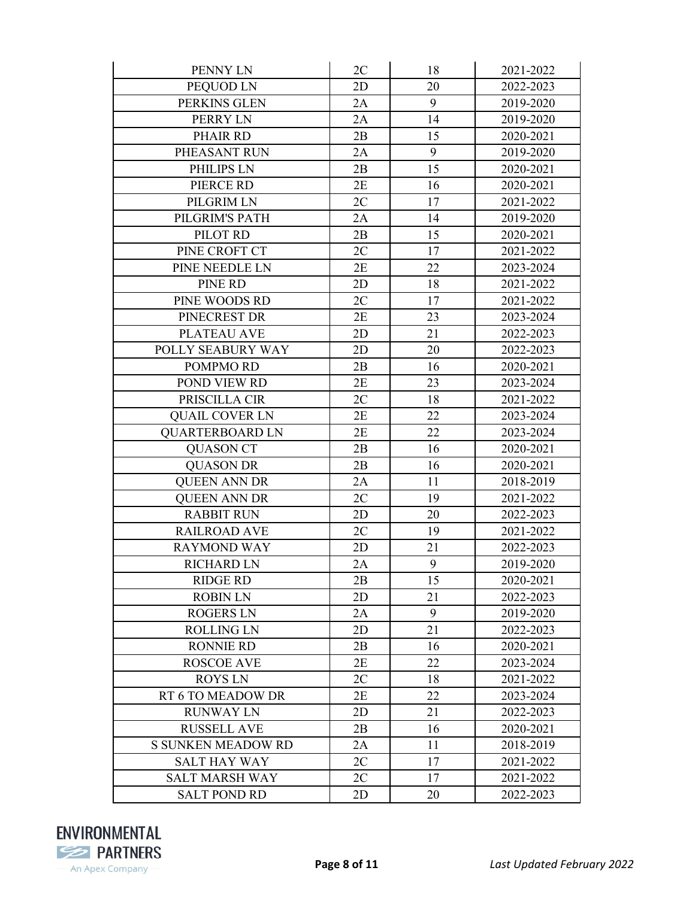| PENNY LN                  | 2C | 18 | 2021-2022 |
|---------------------------|----|----|-----------|
| PEQUOD LN                 | 2D | 20 | 2022-2023 |
| PERKINS GLEN              | 2A | 9  | 2019-2020 |
| PERRY LN                  | 2A | 14 | 2019-2020 |
| PHAIR RD                  | 2B | 15 | 2020-2021 |
| PHEASANT RUN              | 2A | 9  | 2019-2020 |
| PHILIPS LN                | 2B | 15 | 2020-2021 |
| PIERCE RD                 | 2E | 16 | 2020-2021 |
| PILGRIM LN                | 2C | 17 | 2021-2022 |
| PILGRIM'S PATH            | 2A | 14 | 2019-2020 |
| PILOT RD                  | 2B | 15 | 2020-2021 |
| PINE CROFT CT             | 2C | 17 | 2021-2022 |
| PINE NEEDLE LN            | 2E | 22 | 2023-2024 |
| PINE RD                   | 2D | 18 | 2021-2022 |
| PINE WOODS RD             | 2C | 17 | 2021-2022 |
| PINECREST DR              | 2E | 23 | 2023-2024 |
| <b>PLATEAU AVE</b>        | 2D | 21 | 2022-2023 |
| POLLY SEABURY WAY         | 2D | 20 | 2022-2023 |
| POMPMO RD                 | 2B | 16 | 2020-2021 |
| POND VIEW RD              | 2E | 23 | 2023-2024 |
| PRISCILLA CIR             | 2C | 18 | 2021-2022 |
| <b>QUAIL COVER LN</b>     | 2E | 22 | 2023-2024 |
| <b>QUARTERBOARD LN</b>    | 2E | 22 | 2023-2024 |
| <b>QUASON CT</b>          | 2B | 16 | 2020-2021 |
| <b>QUASON DR</b>          | 2B | 16 | 2020-2021 |
| <b>QUEEN ANN DR</b>       | 2A | 11 | 2018-2019 |
| <b>QUEEN ANN DR</b>       | 2C | 19 | 2021-2022 |
| <b>RABBIT RUN</b>         | 2D | 20 | 2022-2023 |
| <b>RAILROAD AVE</b>       | 2C | 19 | 2021-2022 |
| <b>RAYMOND WAY</b>        | 2D | 21 | 2022-2023 |
| <b>RICHARD LN</b>         | 2A | 9  | 2019-2020 |
| <b>RIDGE RD</b>           | 2B | 15 | 2020-2021 |
| <b>ROBIN LN</b>           | 2D | 21 | 2022-2023 |
| <b>ROGERS LN</b>          | 2A | 9  | 2019-2020 |
| <b>ROLLING LN</b>         | 2D | 21 | 2022-2023 |
| <b>RONNIE RD</b>          | 2B | 16 | 2020-2021 |
| <b>ROSCOE AVE</b>         | 2E | 22 | 2023-2024 |
| <b>ROYSLN</b>             | 2C | 18 | 2021-2022 |
| RT 6 TO MEADOW DR         | 2E | 22 | 2023-2024 |
| <b>RUNWAY LN</b>          | 2D | 21 | 2022-2023 |
| <b>RUSSELL AVE</b>        | 2B | 16 | 2020-2021 |
| <b>S SUNKEN MEADOW RD</b> | 2A | 11 | 2018-2019 |
| <b>SALT HAY WAY</b>       | 2C | 17 | 2021-2022 |
| <b>SALT MARSH WAY</b>     | 2C | 17 | 2021-2022 |
| <b>SALT POND RD</b>       | 2D | 20 | 2022-2023 |

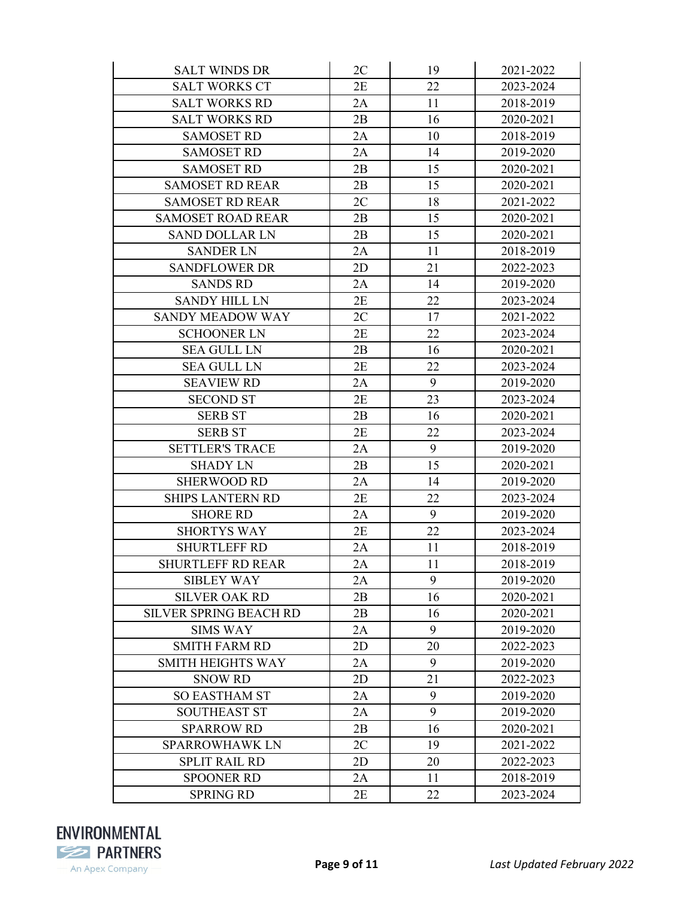| <b>SALT WINDS DR</b>          | 2C | 19               | 2021-2022 |
|-------------------------------|----|------------------|-----------|
| <b>SALT WORKS CT</b>          | 2E | 22               | 2023-2024 |
| <b>SALT WORKS RD</b>          | 2A | 11               | 2018-2019 |
| <b>SALT WORKS RD</b>          | 2B | 16               | 2020-2021 |
| <b>SAMOSET RD</b>             | 2A | 10               | 2018-2019 |
| <b>SAMOSET RD</b>             | 2A | 14               | 2019-2020 |
| <b>SAMOSET RD</b>             | 2B | 15               | 2020-2021 |
| <b>SAMOSET RD REAR</b>        | 2B | 15               | 2020-2021 |
| <b>SAMOSET RD REAR</b>        | 2C | 18               | 2021-2022 |
| <b>SAMOSET ROAD REAR</b>      | 2B | 15               | 2020-2021 |
| <b>SAND DOLLAR LN</b>         | 2B | 15               | 2020-2021 |
| <b>SANDER LN</b>              | 2A | 11               | 2018-2019 |
| <b>SANDFLOWER DR</b>          | 2D | 21               | 2022-2023 |
| <b>SANDS RD</b>               | 2A | 14               | 2019-2020 |
| <b>SANDY HILL LN</b>          | 2E | 22               | 2023-2024 |
| <b>SANDY MEADOW WAY</b>       | 2C | 17               | 2021-2022 |
| <b>SCHOONER LN</b>            | 2E | 22               | 2023-2024 |
| <b>SEA GULL LN</b>            | 2B | 16               | 2020-2021 |
| <b>SEA GULL LN</b>            | 2E | 22               | 2023-2024 |
| <b>SEAVIEW RD</b>             | 2A | 9                | 2019-2020 |
| <b>SECOND ST</b>              | 2E | 23               | 2023-2024 |
| <b>SERB ST</b>                | 2B | 16               | 2020-2021 |
| <b>SERB ST</b>                | 2E | 22               | 2023-2024 |
| <b>SETTLER'S TRACE</b>        | 2A | $\boldsymbol{9}$ | 2019-2020 |
| <b>SHADY LN</b>               | 2B | 15               | 2020-2021 |
| <b>SHERWOOD RD</b>            | 2A | 14               | 2019-2020 |
| <b>SHIPS LANTERN RD</b>       | 2E | 22               | 2023-2024 |
| <b>SHORE RD</b>               | 2A | 9                | 2019-2020 |
| <b>SHORTYS WAY</b>            | 2E | 22               | 2023-2024 |
| <b>SHURTLEFF RD</b>           | 2A | 11               | 2018-2019 |
| <b>SHURTLEFF RD REAR</b>      | 2A | 11               | 2018-2019 |
| <b>SIBLEY WAY</b>             | 2A | 9                | 2019-2020 |
| <b>SILVER OAK RD</b>          | 2B | 16               | 2020-2021 |
| <b>SILVER SPRING BEACH RD</b> | 2B | 16               | 2020-2021 |
| <b>SIMS WAY</b>               | 2A | 9                | 2019-2020 |
| <b>SMITH FARM RD</b>          | 2D | 20               | 2022-2023 |
| <b>SMITH HEIGHTS WAY</b>      | 2A | 9                | 2019-2020 |
| <b>SNOW RD</b>                | 2D | 21               | 2022-2023 |
| <b>SO EASTHAM ST</b>          | 2A | 9                | 2019-2020 |
| <b>SOUTHEAST ST</b>           | 2A | 9                | 2019-2020 |
| <b>SPARROW RD</b>             | 2B | 16               | 2020-2021 |
| <b>SPARROWHAWK LN</b>         | 2C | 19               | 2021-2022 |
| <b>SPLIT RAIL RD</b>          | 2D | 20               | 2022-2023 |
| <b>SPOONER RD</b>             | 2A | 11               | 2018-2019 |
| <b>SPRING RD</b>              | 2E | 22               | 2023-2024 |

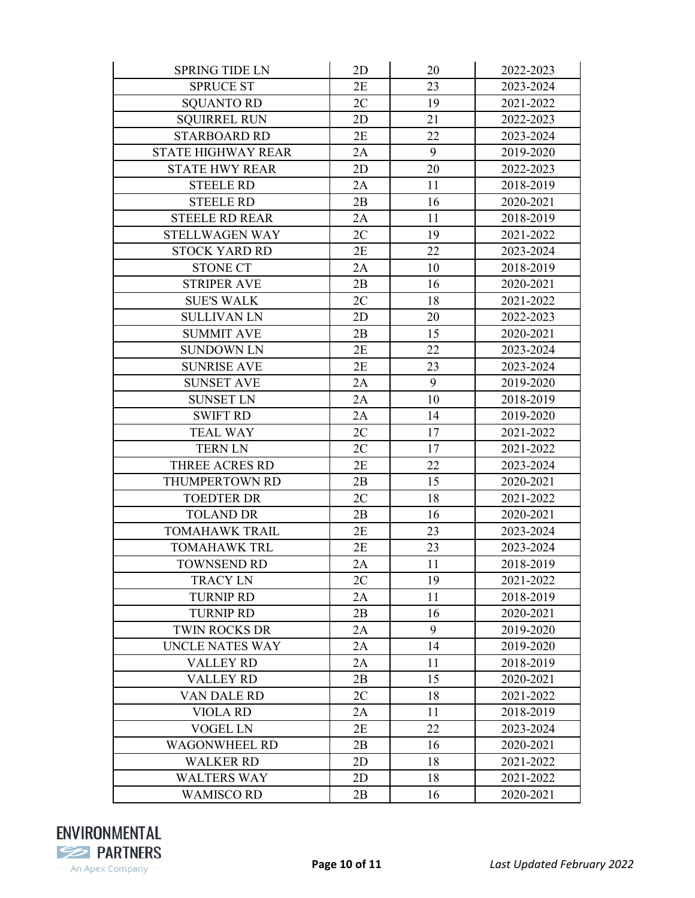| <b>SPRING TIDE LN</b>     | 2D | 20 | 2022-2023 |
|---------------------------|----|----|-----------|
| <b>SPRUCE ST</b>          | 2E | 23 | 2023-2024 |
| <b>SQUANTO RD</b>         | 2C | 19 | 2021-2022 |
| <b>SQUIRREL RUN</b>       | 2D | 21 | 2022-2023 |
| <b>STARBOARD RD</b>       | 2E | 22 | 2023-2024 |
| <b>STATE HIGHWAY REAR</b> | 2A | 9  | 2019-2020 |
| <b>STATE HWY REAR</b>     | 2D | 20 | 2022-2023 |
| <b>STEELE RD</b>          | 2A | 11 | 2018-2019 |
| <b>STEELE RD</b>          | 2B | 16 | 2020-2021 |
| <b>STEELE RD REAR</b>     | 2A | 11 | 2018-2019 |
| <b>STELLWAGEN WAY</b>     | 2C | 19 | 2021-2022 |
| <b>STOCK YARD RD</b>      | 2E | 22 | 2023-2024 |
| <b>STONE CT</b>           | 2A | 10 | 2018-2019 |
| <b>STRIPER AVE</b>        | 2B | 16 | 2020-2021 |
| <b>SUE'S WALK</b>         | 2C | 18 | 2021-2022 |
| <b>SULLIVAN LN</b>        | 2D | 20 | 2022-2023 |
| <b>SUMMIT AVE</b>         | 2B | 15 | 2020-2021 |
| <b>SUNDOWN LN</b>         | 2E | 22 | 2023-2024 |
| <b>SUNRISE AVE</b>        | 2E | 23 | 2023-2024 |
| <b>SUNSET AVE</b>         | 2A | 9  | 2019-2020 |
| <b>SUNSET LN</b>          | 2A | 10 | 2018-2019 |
| <b>SWIFT RD</b>           | 2A | 14 | 2019-2020 |
| <b>TEAL WAY</b>           | 2C | 17 | 2021-2022 |
| <b>TERN LN</b>            | 2C | 17 | 2021-2022 |
| THREE ACRES RD            | 2E | 22 | 2023-2024 |
| THUMPERTOWN RD            | 2B | 15 | 2020-2021 |
| <b>TOEDTER DR</b>         | 2C | 18 | 2021-2022 |
| <b>TOLAND DR</b>          | 2B | 16 | 2020-2021 |
| <b>TOMAHAWK TRAIL</b>     | 2E | 23 | 2023-2024 |
| <b>TOMAHAWK TRL</b>       | 2E | 23 | 2023-2024 |
| <b>TOWNSEND RD</b>        | 2A | 11 | 2018-2019 |
| <b>TRACY LN</b>           | 2C | 19 | 2021-2022 |
| <b>TURNIP RD</b>          | 2A | 11 | 2018-2019 |
| <b>TURNIP RD</b>          | 2B | 16 | 2020-2021 |
| <b>TWIN ROCKS DR</b>      | 2A | 9  | 2019-2020 |
| UNCLE NATES WAY           | 2A | 14 | 2019-2020 |
| <b>VALLEY RD</b>          | 2A | 11 | 2018-2019 |
| <b>VALLEY RD</b>          | 2B | 15 | 2020-2021 |
| VAN DALE RD               | 2C | 18 | 2021-2022 |
| <b>VIOLA RD</b>           | 2A | 11 | 2018-2019 |
| <b>VOGEL LN</b>           | 2E | 22 | 2023-2024 |
| <b>WAGONWHEEL RD</b>      | 2B | 16 | 2020-2021 |
| <b>WALKER RD</b>          | 2D | 18 | 2021-2022 |
| <b>WALTERS WAY</b>        | 2D | 18 | 2021-2022 |
| <b>WAMISCO RD</b>         | 2B | 16 | 2020-2021 |